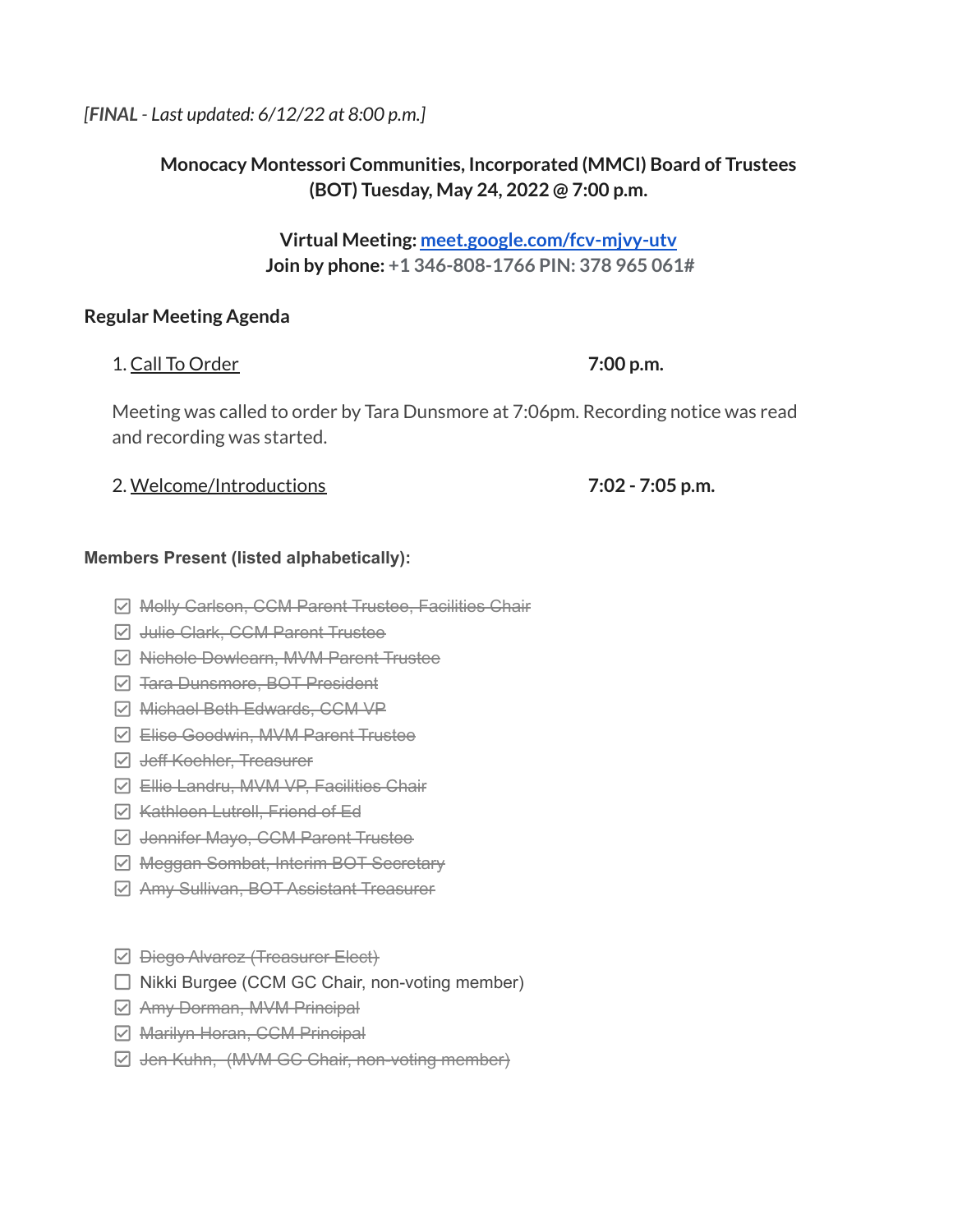### *[FINAL - Last updated: 6/12/22 at 8:00 p.m.]*

# **Monocacy Montessori Communities, Incorporated (MMCI) Board of Trustees (BOT) Tuesday, May 24, 2022 @ 7:00 p.m.**

**Virtual Meeting: [meet.google.com/fcv-mjvy-utv](http://meet.google.com/fcv-mjvy-utv) Join by phone: +1 346-808-1766 PIN: 378 965 061#**

### **Regular Meeting Agenda**

### 1. Call To Order **7:00 p.m.**

Meeting was called to order by Tara Dunsmore at 7:06pm. Recording notice was read and recording was started.

### 2. Welcome/Introductions **7:02 - 7:05 p.m.**

### **Members Present (listed alphabetically):**

- **Ø Molly Carlson, CCM Parent Trustee, Facilities Chair**
- **Z** Julie Clark, CCM Parent Trustee
- **Ø Nichole Dowlearn, MVM Parent Trustee**
- **☑ <del>Tara Dunsmore, BOT President</del>**
- Michael Beth Edwards, CCM VP
- Elise Goodwin, MVM Parent Trustee
- **Z** Jeff Koehler, Treasurer
- Ellie Landru, MVM VP, Facilities Chair
- **⊘** Kathleen Lutrell, Friend of Ed
- **Z** Jennifer Mayo, CCM Parent Trustee
- **Ø Meggan Sombat, Interim BOT Secretary**
- Amy Sullivan, BOT Assistant Treasurer
- $\Box$  <del>Diego Alvarez (Treasurer Elect)</del>
- $\Box$  Nikki Burgee (CCM GC Chair, non-voting member)
- $\boxdot$  Amy Dorman, MVM Principal
- **Ø** Marilyn Horan, CCM Principal
- Jen Kuhn, (MVM GC Chair, non-voting member)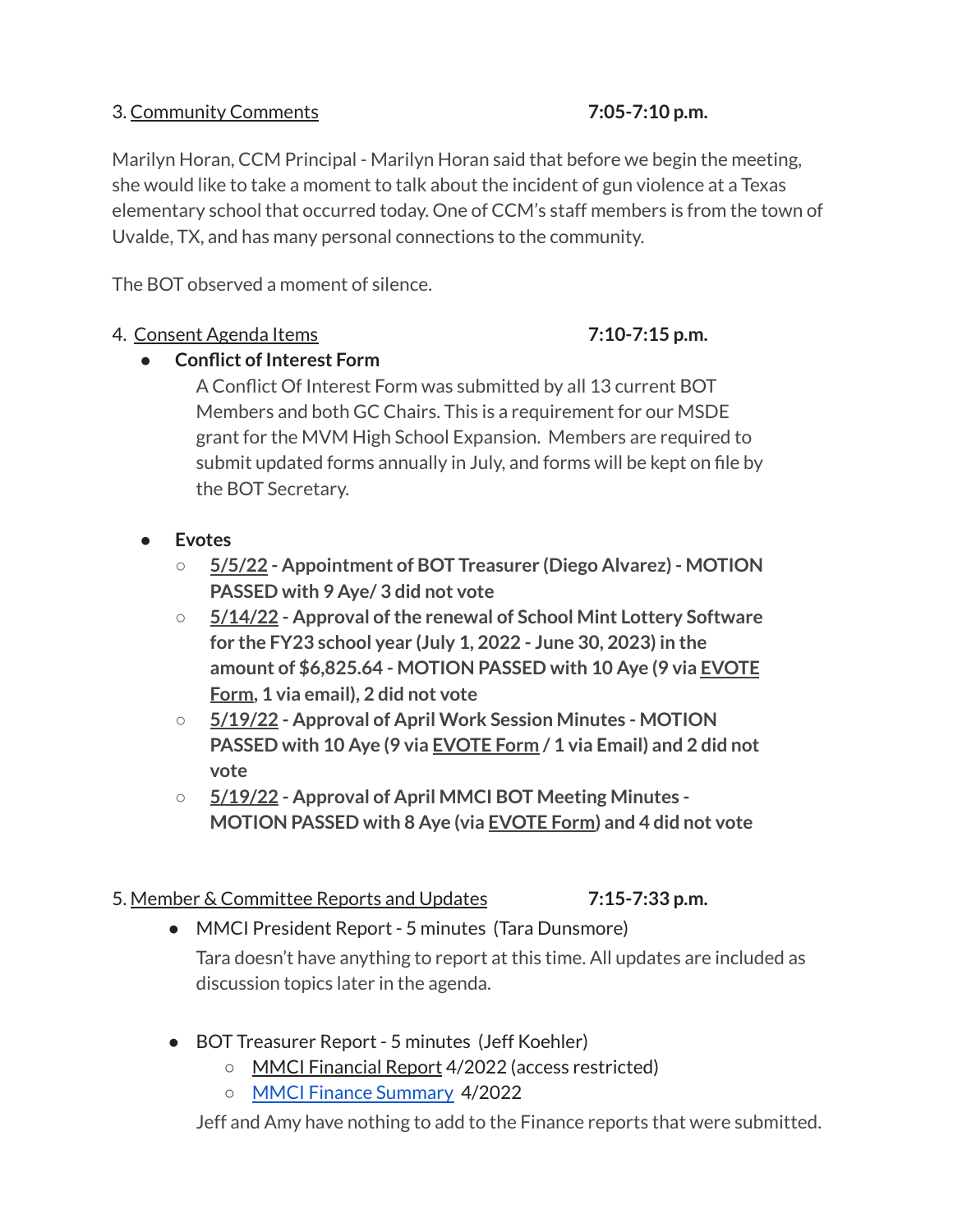## 3. Community Comments **7:05-7:10 p.m.**

Marilyn Horan, CCM Principal - Marilyn Horan said that before we begin the meeting, she would like to take a moment to talk about the incident of gun violence at a Texas elementary school that occurred today. One of CCM's staff members is from the town of Uvalde, TX, and has many personal connections to the community.

The BOT observed a moment of silence.

# 4. Consent Agenda Items **7:10-7:15 p.m.**

# **● Conflict of Interest Form**

A Conflict Of Interest Form was submitted by all 13 current BOT Members and both GC Chairs. This is a requirement for our MSDE grant for the MVM High School Expansion. Members are required to submit updated forms annually in July, and forms will be kept on file by the BOT Secretary.

- **● Evotes**
	- **○ 5/5/22 - Appointment of BOT Treasurer (Diego Alvarez) - MOTION PASSED with 9 Aye/ 3 did not vote**
	- $\circ$  **5/14/22 Approval of the renewal of School Mint Lottery Software for the FY23 school year (July 1, 2022 - June 30, 2023) in the amount of \$6,825.64 - MOTION PASSED with 10 Aye (9 via [EVOTE](https://drive.google.com/file/d/1ehbx7I97B7Iwg8nhT5TRG9Hmm18lvID2/view?usp=sharing) [Form](https://drive.google.com/file/d/1ehbx7I97B7Iwg8nhT5TRG9Hmm18lvID2/view?usp=sharing), 1 via email), 2 did not vote**
	- **○ 5/19/22 - Approval of April Work Session Minutes - MOTION PASSED with 10 Aye (9 via [EVOTE](https://drive.google.com/file/d/1z-B4IaXwtV83ktLjIx7d9-6x0BEEm6kB/view?usp=sharing) Form / 1 via Email) and 2 did not vote**
	- **○ 5/19/22 - Approval of April MMCI BOT Meeting Minutes - MOTION PASSED with 8 Aye (via [EVOTE](https://drive.google.com/file/d/16YL6IN60SqZ_myvVLXuVGrTMpXhUm4im/view?usp=sharing) Form) and 4 did not vote**
- 5. Member & Committee Reports and Updates **7:15-7:33 p.m.**
	- MMCI President Report 5 minutes (Tara Dunsmore) Tara doesn't have anything to report at this time. All updates are included as discussion topics later in the agenda.
	- BOT Treasurer Report 5 minutes (Jeff Koehler)
		- MMCI Financial Report 4/2022 (access restricted)
		- MMCI Finance [Summary](https://drive.google.com/file/d/1eTcu2UsyrIdDptVRYf7CY9wXu3VuT6RV/view?usp=sharing) 4/2022

Jeff and Amy have nothing to add to the Finance reports that were submitted.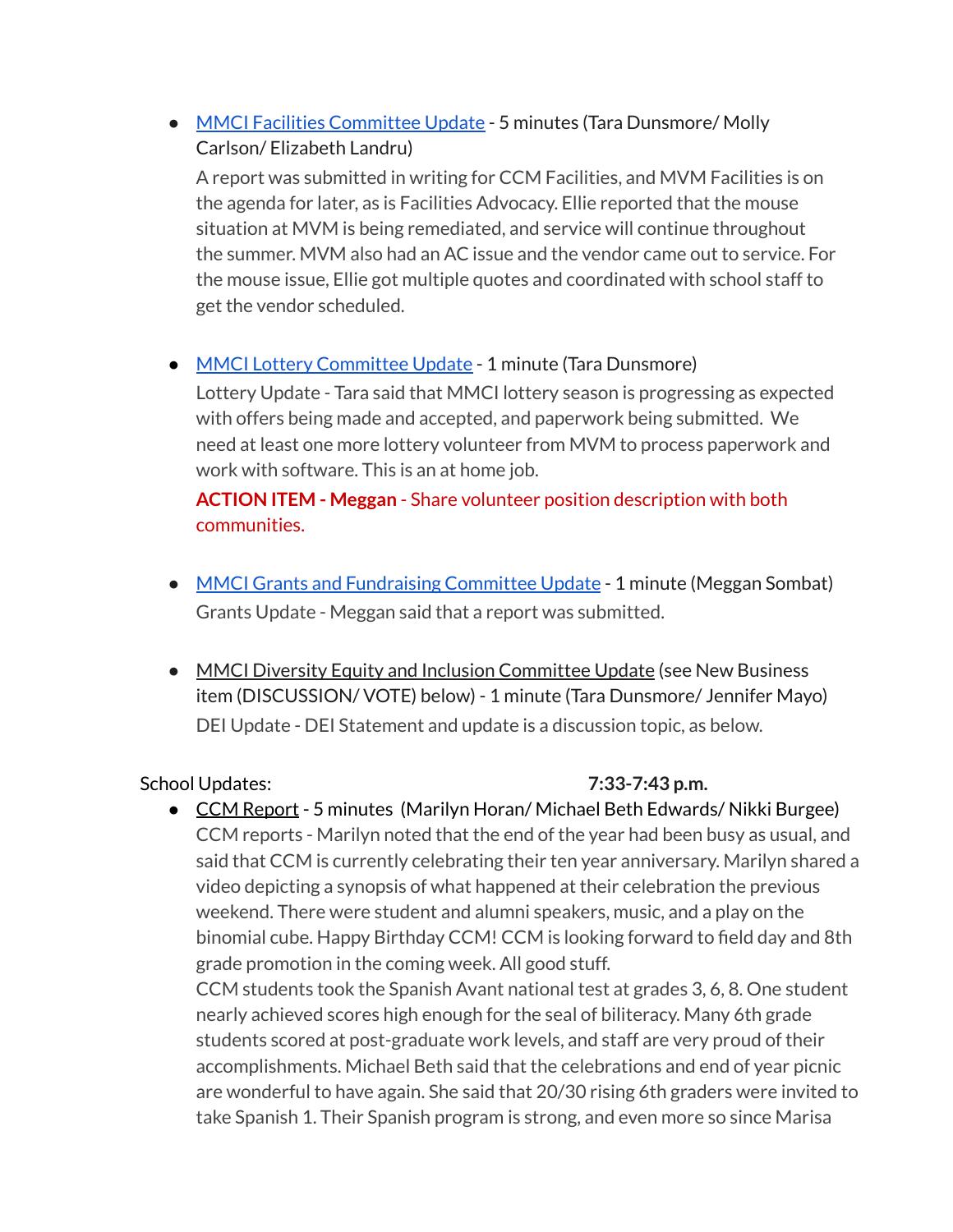• MMCI Facilities [Committee](https://docs.google.com/document/d/1AB0vmpYlW4soxr5ZfnX6P_hXk-Zx4kCrP3F1hM60e8Y/edit?usp=sharing) Update - 5 minutes (Tara Dunsmore/ Molly Carlson/ Elizabeth Landru)

A report was submitted in writing for CCM Facilities, and MVM Facilities is on the agenda for later, as is Facilities Advocacy. Ellie reported that the mouse situation at MVM is being remediated, and service will continue throughout the summer. MVM also had an AC issue and the vendor came out to service. For the mouse issue, Ellie got multiple quotes and coordinated with school staff to get the vendor scheduled.

# • MMCI Lottery [Committee](https://docs.google.com/document/d/1R-U0TkNGa05D_q_OZZ0ncCYBpoyNY4-AXuNqQAXqroY/edit?usp=sharing) Update - 1 minute (Tara Dunsmore)

Lottery Update - Tara said that MMCI lottery season is progressing as expected with offers being made and accepted, and paperwork being submitted. We need at least one more lottery volunteer from MVM to process paperwork and work with software. This is an at home job.

# **ACTION ITEM - Meggan** - Share volunteer position description with both communities.

- MMCI Grants and [Fundraising](https://docs.google.com/document/d/1O7dDL0mzOZa9bnhILGp-Mzk6z00W_AR7dgnC2hZawnQ/edit?usp=sharing) Committee Update 1 minute (Meggan Sombat) Grants Update - Meggan said that a report was submitted.
- MMCI Diversity Equity and Inclusion Committee Update (see New Business item (DISCUSSION/ VOTE) below) - 1 minute (Tara Dunsmore/ Jennifer Mayo) DEI Update - DEI Statement and update is a discussion topic, as below.

School Updates: **7:33-7:43 p.m.**

● CCM Report - 5 minutes (Marilyn Horan/ Michael Beth Edwards/ Nikki Burgee) CCM reports - Marilyn noted that the end of the year had been busy as usual, and said that CCM is currently celebrating their ten year anniversary. Marilyn shared a video depicting a synopsis of what happened at their celebration the previous weekend. There were student and alumni speakers, music, and a play on the binomial cube. Happy Birthday CCM! CCM is looking forward to field day and 8th grade promotion in the coming week. All good stuff. CCM students took the Spanish Avant national test at grades 3, 6, 8. One student nearly achieved scores high enough for the seal of biliteracy. Many 6th grade students scored at post-graduate work levels, and staff are very proud of their accomplishments. Michael Beth said that the celebrations and end of year picnic are wonderful to have again. She said that 20/30 rising 6th graders were invited to take Spanish 1. Their Spanish program is strong, and even more so since Marisa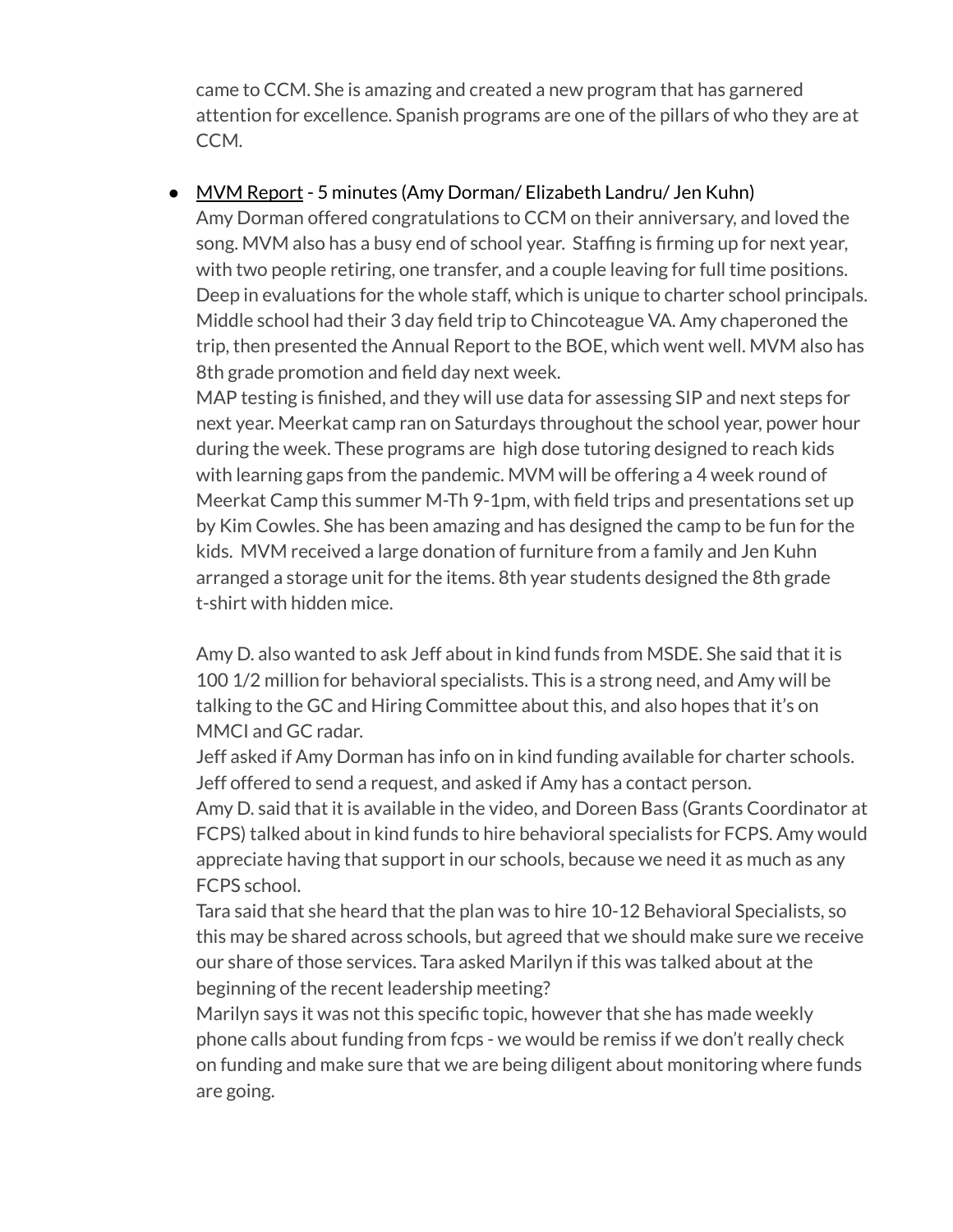came to CCM. She is amazing and created a new program that has garnered attention for excellence. Spanish programs are one of the pillars of who they are at CCM.

# • MVM Report - 5 minutes (Amy Dorman/ Elizabeth Landru/ Jen Kuhn)

Amy Dorman offered congratulations to CCM on their anniversary, and loved the song. MVM also has a busy end of school year. Staffing is firming up for next year, with two people retiring, one transfer, and a couple leaving for full time positions. Deep in evaluations for the whole staff, which is unique to charter school principals. Middle school had their 3 day field trip to Chincoteague VA. Amy chaperoned the trip, then presented the Annual Report to the BOE, which went well. MVM also has 8th grade promotion and field day next week.

MAP testing is finished, and they will use data for assessing SIP and next steps for next year. Meerkat camp ran on Saturdays throughout the school year, power hour during the week. These programs are high dose tutoring designed to reach kids with learning gaps from the pandemic. MVM will be offering a 4 week round of Meerkat Camp this summer M-Th 9-1pm, with field trips and presentations set up by Kim Cowles. She has been amazing and has designed the camp to be fun for the kids. MVM received a large donation of furniture from a family and Jen Kuhn arranged a storage unit for the items. 8th year students designed the 8th grade t-shirt with hidden mice.

Amy D. also wanted to ask Jeff about in kind funds from MSDE. She said that it is 100 1/2 million for behavioral specialists. This is a strong need, and Amy will be talking to the GC and Hiring Committee about this, and also hopes that it's on MMCI and GC radar.

Jeff asked if Amy Dorman has info on in kind funding available for charter schools. Jeff offered to send a request, and asked if Amy has a contact person.

Amy D. said that it is available in the video, and Doreen Bass (Grants Coordinator at FCPS) talked about in kind funds to hire behavioral specialists for FCPS. Amy would appreciate having that support in our schools, because we need it as much as any FCPS school.

Tara said that she heard that the plan was to hire 10-12 Behavioral Specialists, so this may be shared across schools, but agreed that we should make sure we receive our share of those services. Tara asked Marilyn if this was talked about at the beginning of the recent leadership meeting?

Marilyn says it was not this specific topic, however that she has made weekly phone calls about funding from fcps - we would be remiss if we don't really check on funding and make sure that we are being diligent about monitoring where funds are going.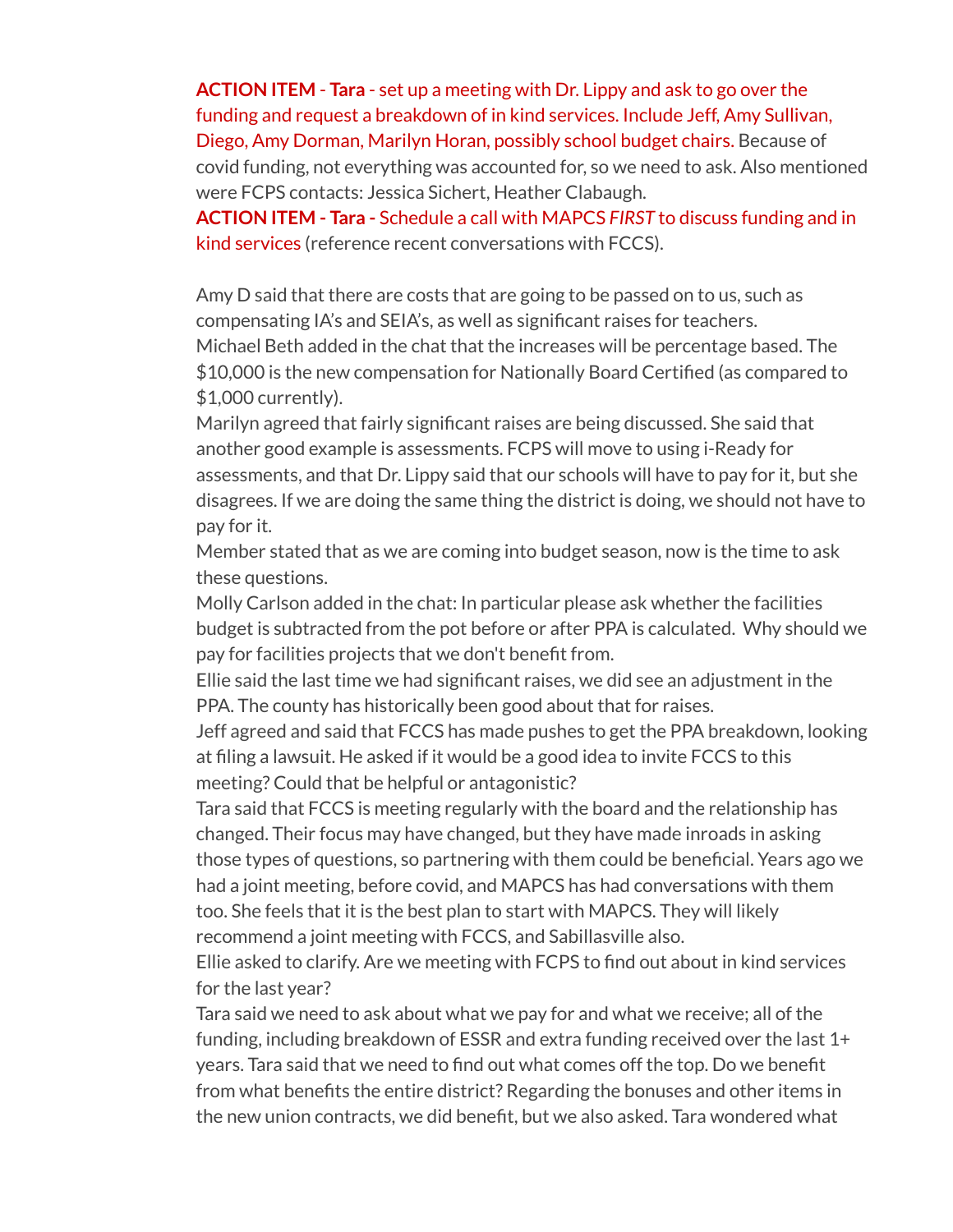**ACTION ITEM** - **Tara** - set up a meeting with Dr. Lippy and ask to go over the funding and request a breakdown of in kind services. Include Jeff, Amy Sullivan, Diego, Amy Dorman, Marilyn Horan, possibly school budget chairs. Because of covid funding, not everything was accounted for, so we need to ask. Also mentioned were FCPS contacts: Jessica Sichert, Heather Clabaugh.

**ACTION ITEM - Tara -** Schedule a call with MAPCS *FIRST* to discuss funding and in kind services (reference recent conversations with FCCS).

Amy D said that there are costs that are going to be passed on to us, such as compensating IA's and SEIA's, as well as significant raises for teachers. Michael Beth added in the chat that the increases will be percentage based. The \$10,000 is the new compensation for Nationally Board Certified (as compared to \$1,000 currently).

Marilyn agreed that fairly significant raises are being discussed. She said that another good example is assessments. FCPS will move to using i-Ready for assessments, and that Dr. Lippy said that our schools will have to pay for it, but she disagrees. If we are doing the same thing the district is doing, we should not have to pay for it.

Member stated that as we are coming into budget season, now is the time to ask these questions.

Molly Carlson added in the chat: In particular please ask whether the facilities budget is subtracted from the pot before or after PPA is calculated. Why should we pay for facilities projects that we don't benefit from.

Ellie said the last time we had significant raises, we did see an adjustment in the PPA. The county has historically been good about that for raises.

Jeff agreed and said that FCCS has made pushes to get the PPA breakdown, looking at filing a lawsuit. He asked if it would be a good idea to invite FCCS to this meeting? Could that be helpful or antagonistic?

Tara said that FCCS is meeting regularly with the board and the relationship has changed. Their focus may have changed, but they have made inroads in asking those types of questions, so partnering with them could be beneficial. Years ago we had a joint meeting, before covid, and MAPCS has had conversations with them too. She feels that it is the best plan to start with MAPCS. They will likely recommend a joint meeting with FCCS, and Sabillasville also.

Ellie asked to clarify. Are we meeting with FCPS to find out about in kind services for the last year?

Tara said we need to ask about what we pay for and what we receive; all of the funding, including breakdown of ESSR and extra funding received over the last 1+ years. Tara said that we need to find out what comes off the top. Do we benefit from what benefits the entire district? Regarding the bonuses and other items in the new union contracts, we did benefit, but we also asked. Tara wondered what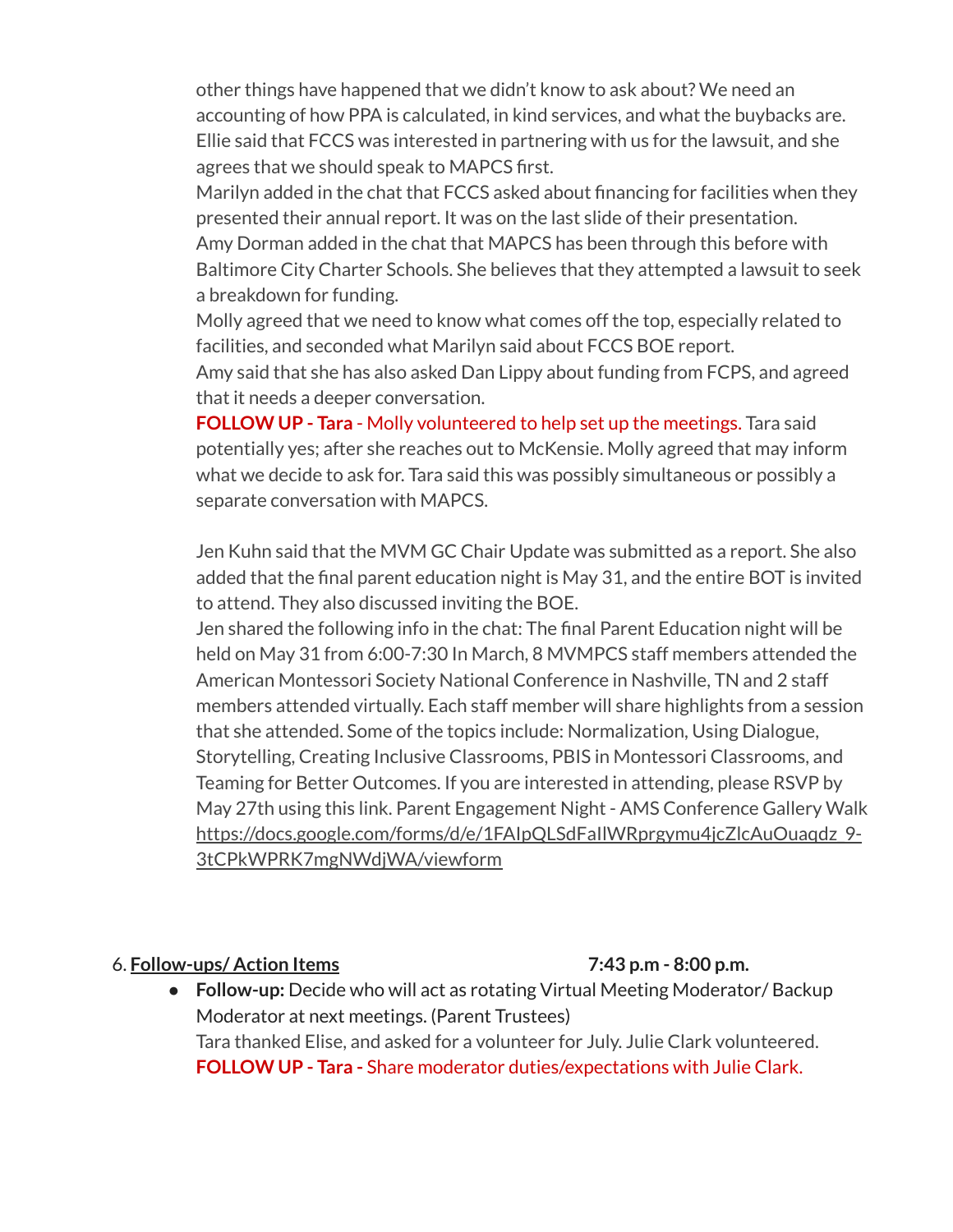other things have happened that we didn't know to ask about? We need an accounting of how PPA is calculated, in kind services, and what the buybacks are. Ellie said that FCCS was interested in partnering with us for the lawsuit, and she agrees that we should speak to MAPCS first.

Marilyn added in the chat that FCCS asked about financing for facilities when they presented their annual report. It was on the last slide of their presentation. Amy Dorman added in the chat that MAPCS has been through this before with Baltimore City Charter Schools. She believes that they attempted a lawsuit to seek a breakdown for funding.

Molly agreed that we need to know what comes off the top, especially related to facilities, and seconded what Marilyn said about FCCS BOE report.

Amy said that she has also asked Dan Lippy about funding from FCPS, and agreed that it needs a deeper conversation.

**FOLLOW UP - Tara** - Molly volunteered to help set up the meetings. Tara said potentially yes; after she reaches out to McKensie. Molly agreed that may inform what we decide to ask for. Tara said this was possibly simultaneous or possibly a separate conversation with MAPCS.

Jen Kuhn said that the MVM GC Chair Update was submitted as a report. She also added that the final parent education night is May 31, and the entire BOT is invited to attend. They also discussed inviting the BOE.

Jen shared the following info in the chat: The final Parent Education night will be held on May 31 from 6:00-7:30 In March, 8 MVMPCS staff members attended the American Montessori Society National Conference in Nashville, TN and 2 staff members attended virtually. Each staff member will share highlights from a session that she attended. Some of the topics include: Normalization, Using Dialogue, Storytelling, Creating Inclusive Classrooms, PBIS in Montessori Classrooms, and Teaming for Better Outcomes. If you are interested in attending, please RSVP by May 27th using this link. Parent Engagement Night - AMS Conference Gallery Walk [https://docs.google.com/forms/d/e/1FAIpQLSdFaIlWRprgymu4jcZlcAuOuaqdz\\_9-](https://docs.google.com/forms/d/e/1FAIpQLSdFaIlWRprgymu4jcZlcAuOuaqdz_9-3tCPkWPRK7mgNWdjWA/viewform?authuser=6) [3tCPkWPRK7mgNWdjWA/viewform](https://docs.google.com/forms/d/e/1FAIpQLSdFaIlWRprgymu4jcZlcAuOuaqdz_9-3tCPkWPRK7mgNWdjWA/viewform?authuser=6)

#### 6. **Follow-ups/ Action Items 7:43 p.m - 8:00 p.m.**

**● Follow-up:** Decide who will act as rotating Virtual Meeting Moderator/ Backup Moderator at next meetings. (Parent Trustees) Tara thanked Elise, and asked for a volunteer for July. Julie Clark volunteered. **FOLLOW UP - Tara -** Share moderator duties/expectations with Julie Clark.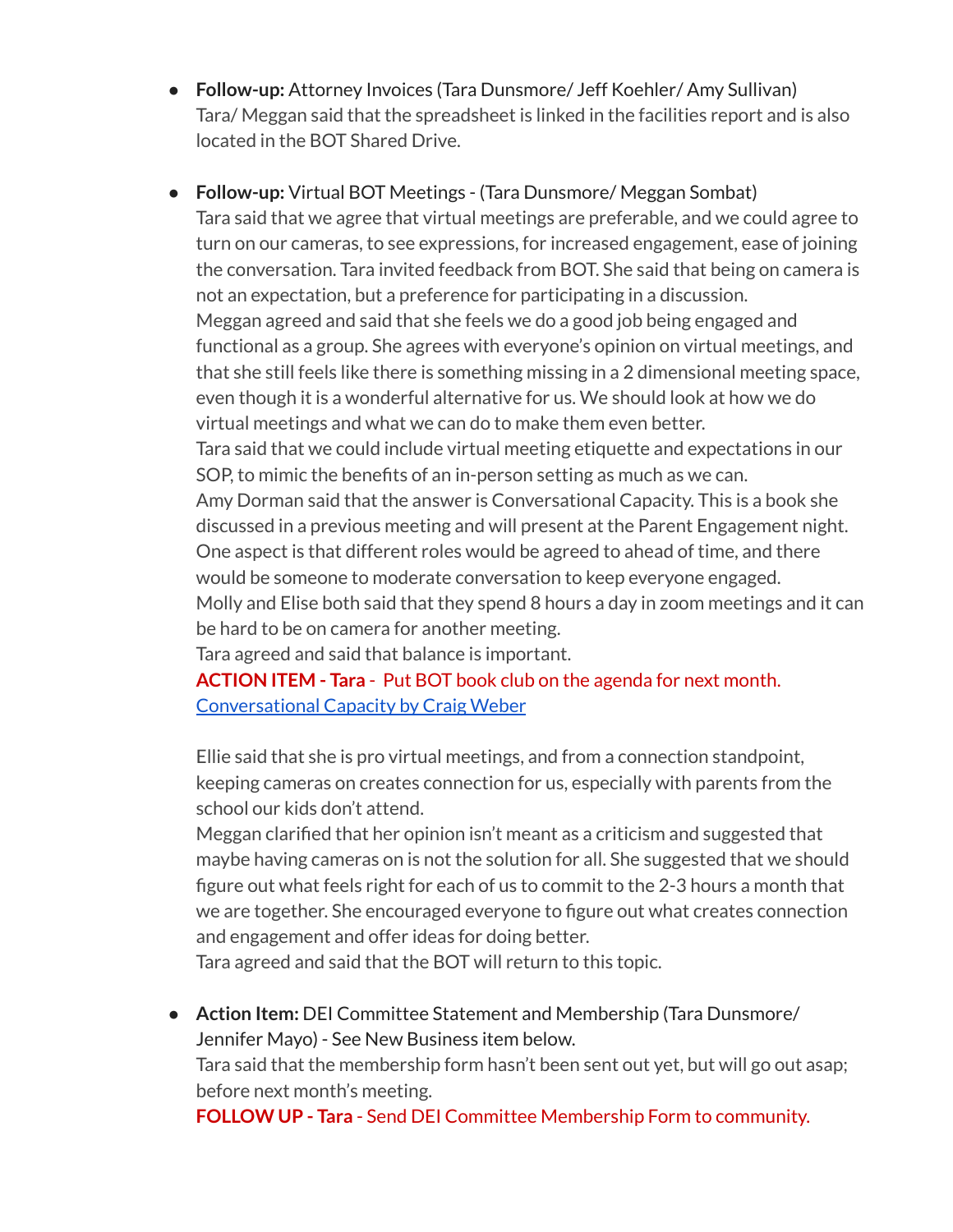- **Follow-up:** Attorney Invoices (Tara Dunsmore/ Jeff Koehler/ Amy Sullivan) Tara/ Meggan said that the spreadsheet is linked in the facilities report and is also located in the BOT Shared Drive.
- **Follow-up:** Virtual BOT Meetings (Tara Dunsmore/ Meggan Sombat) Tara said that we agree that virtual meetings are preferable, and we could agree to turn on our cameras, to see expressions, for increased engagement, ease of joining the conversation. Tara invited feedback from BOT. She said that being on camera is not an expectation, but a preference for participating in a discussion. Meggan agreed and said that she feels we do a good job being engaged and functional as a group. She agrees with everyone's opinion on virtual meetings, and that she still feels like there is something missing in a 2 dimensional meeting space, even though it is a wonderful alternative for us. We should look at how we do virtual meetings and what we can do to make them even better. Tara said that we could include virtual meeting etiquette and expectations in our SOP, to mimic the benefits of an in-person setting as much as we can. Amy Dorman said that the answer is Conversational Capacity. This is a book she discussed in a previous meeting and will present at the Parent Engagement night. One aspect is that different roles would be agreed to ahead of time, and there would be someone to moderate conversation to keep everyone engaged. Molly and Elise both said that they spend 8 hours a day in zoom meetings and it can be hard to be on camera for another meeting. Tara agreed and said that balance is important.

**ACTION ITEM - Tara** - Put BOT book club on the agenda for next month. [Conversational](https://www.amazon.com/Conversational-Capacity-Building-Successful-Pressure/dp/0071807128/ref=asc_df_0071807128/?tag=hyprod-20&linkCode=df0&hvadid=312118059795&hvpos=&hvnetw=g&hvrand=15467460572854844309&hvpone=&hvptwo=&hvqmt=&hvdev=c&hvdvcmdl=&hvlocint=&hvlocphy=9008050&hvtargid=pla-527215337652&psc=1) Capacity by Craig Weber

Ellie said that she is pro virtual meetings, and from a connection standpoint, keeping cameras on creates connection for us, especially with parents from the school our kids don't attend.

Meggan clarified that her opinion isn't meant as a criticism and suggested that maybe having cameras on is not the solution for all. She suggested that we should figure out what feels right for each of us to commit to the 2-3 hours a month that we are together. She encouraged everyone to figure out what creates connection and engagement and offer ideas for doing better.

Tara agreed and said that the BOT will return to this topic.

● **Action Item:** DEI Committee Statement and Membership (Tara Dunsmore/ Jennifer Mayo) - See New Business item below. Tara said that the membership form hasn't been sent out yet, but will go out asap; before next month's meeting.

**FOLLOW UP - Tara** - Send DEI Committee Membership Form to community.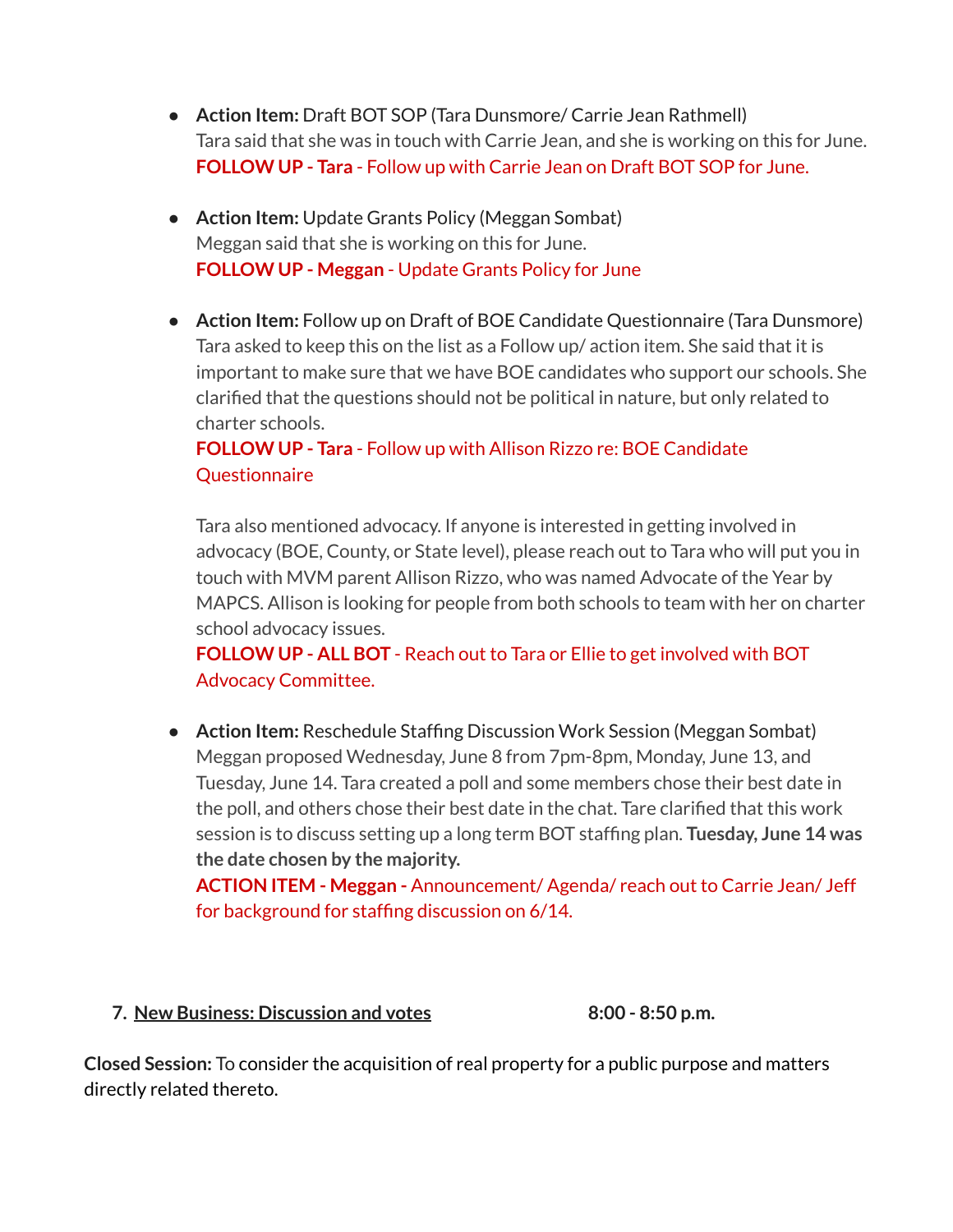- **Action Item:** Draft BOT SOP (Tara Dunsmore/ Carrie Jean Rathmell) Tara said that she was in touch with Carrie Jean, and she is working on this for June. **FOLLOW UP - Tara** - Follow up with Carrie Jean on Draft BOT SOP for June.
- **Action Item:** Update Grants Policy (Meggan Sombat) Meggan said that she is working on this for June. **FOLLOW UP - Meggan** - Update Grants Policy for June
- **Action Item:** Follow up on Draft of BOE Candidate Questionnaire (Tara Dunsmore) Tara asked to keep this on the list as a Follow up/ action item. She said that it is important to make sure that we have BOE candidates who support our schools. She clarified that the questions should not be political in nature, but only related to charter schools.

# **FOLLOW UP - Tara** - Follow up with Allison Rizzo re: BOE Candidate **Questionnaire**

Tara also mentioned advocacy. If anyone is interested in getting involved in advocacy (BOE, County, or State level), please reach out to Tara who will put you in touch with MVM parent Allison Rizzo, who was named Advocate of the Year by MAPCS. Allison is looking for people from both schools to team with her on charter school advocacy issues.

**FOLLOW UP - ALL BOT** - Reach out to Tara or Ellie to get involved with BOT Advocacy Committee.

● **Action Item:** Reschedule Staffing Discussion Work Session (Meggan Sombat) Meggan proposed Wednesday, June 8 from 7pm-8pm, Monday, June 13, and Tuesday, June 14. Tara created a poll and some members chose their best date in the poll, and others chose their best date in the chat. Tare clarified that this work session is to discuss setting up a long term BOT staffing plan. **Tuesday, June 14 was the date chosen by the majority.**

**ACTION ITEM - Meggan -** Announcement/ Agenda/ reach out to Carrie Jean/ Jeff for background for staffing discussion on 6/14.

### **7. New Business: Discussion and votes 8:00 - 8:50 p.m.**

**Closed Session:** To consider the acquisition of real property for a public purpose and matters directly related thereto.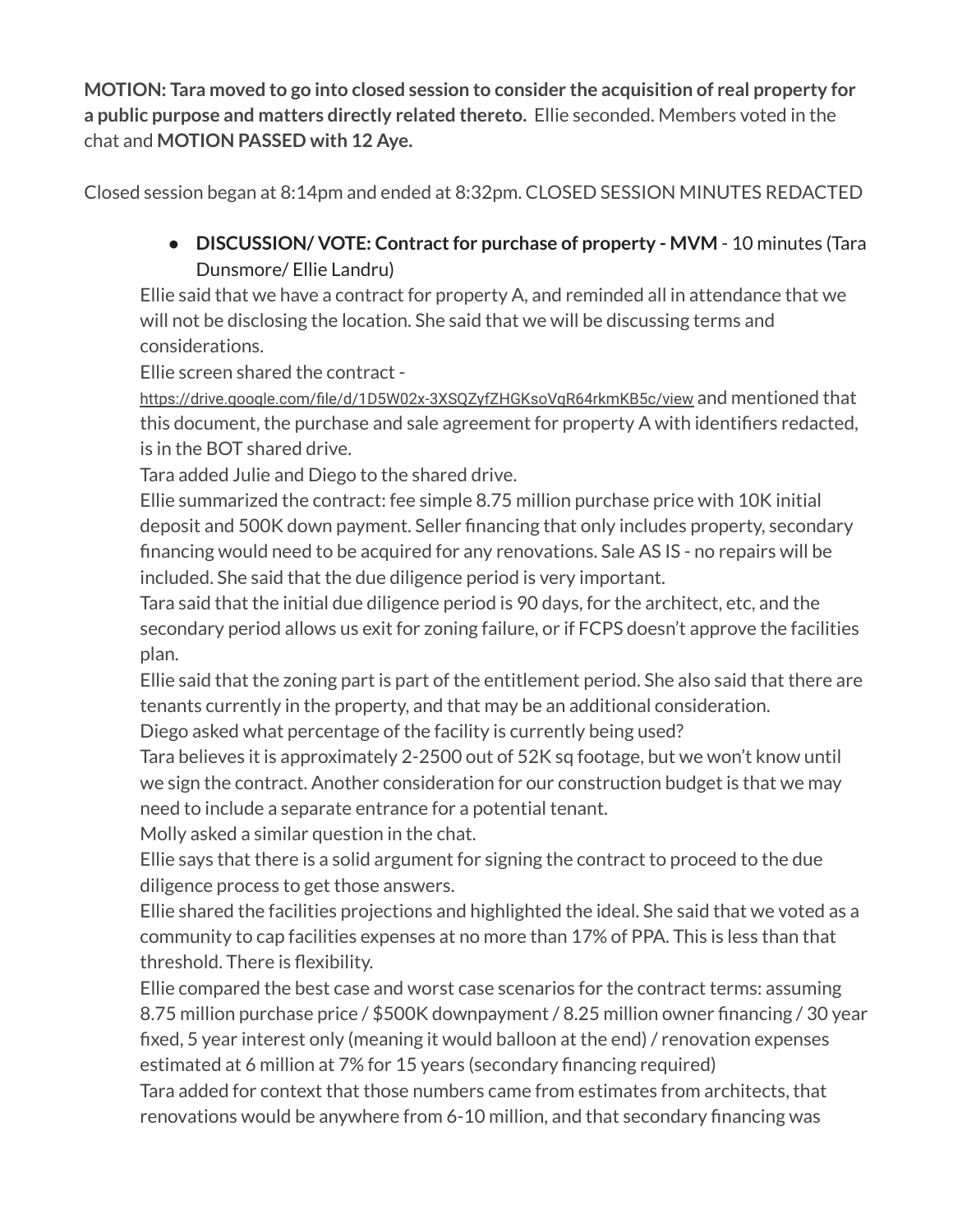**MOTION: Tara moved to go into closed session to consider the acquisition of real property for a public purpose and matters directly related thereto.** Ellie seconded. Members voted in the chat and **MOTION PASSED with 12 Aye.**

Closed session began at 8:14pm and ended at 8:32pm. CLOSED SESSION MINUTES REDACTED

● **DISCUSSION/ VOTE: Contractfor purchase of property - MVM** - 10 minutes (Tara Dunsmore/ Ellie Landru)

Ellie said that we have a contract for property A, and reminded all in attendance that we will not be disclosing the location. She said that we will be discussing terms and considerations.

Ellie screen shared the contract -

[https://drive.google.com/file/d/1D5W02x-3XSQZyfZHGKsoVqR64rkmKB5c/view](https://drive.google.com/file/d/1D5W02x-3XSQZyfZHGKsoVqR64rkmKB5c/view?authuser=6) and mentioned that this document, the purchase and sale agreement for property A with identifiers redacted, is in the BOT shared drive.

Tara added Julie and Diego to the shared drive.

Ellie summarized the contract: fee simple 8.75 million purchase price with 10K initial deposit and 500K down payment. Seller financing that only includes property, secondary financing would need to be acquired for any renovations. Sale AS IS - no repairs will be included. She said that the due diligence period is very important.

Tara said that the initial due diligence period is 90 days, for the architect, etc, and the secondary period allows us exit for zoning failure, or if FCPS doesn't approve the facilities plan.

Ellie said that the zoning part is part of the entitlement period. She also said that there are tenants currently in the property, and that may be an additional consideration.

Diego asked what percentage of the facility is currently being used?

Tara believes it is approximately 2-2500 out of 52K sq footage, but we won't know until we sign the contract. Another consideration for our construction budget is that we may need to include a separate entrance for a potential tenant.

Molly asked a similar question in the chat.

Ellie says that there is a solid argument for signing the contract to proceed to the due diligence process to get those answers.

Ellie shared the facilities projections and highlighted the ideal. She said that we voted as a community to cap facilities expenses at no more than 17% of PPA. This is less than that threshold. There is flexibility.

Ellie compared the best case and worst case scenarios for the contract terms: assuming 8.75 million purchase price / \$500K downpayment / 8.25 million owner financing / 30 year fixed, 5 year interest only (meaning it would balloon at the end) / renovation expenses estimated at 6 million at 7% for 15 years (secondary financing required)

Tara added for context that those numbers came from estimates from architects, that renovations would be anywhere from 6-10 million, and that secondary financing was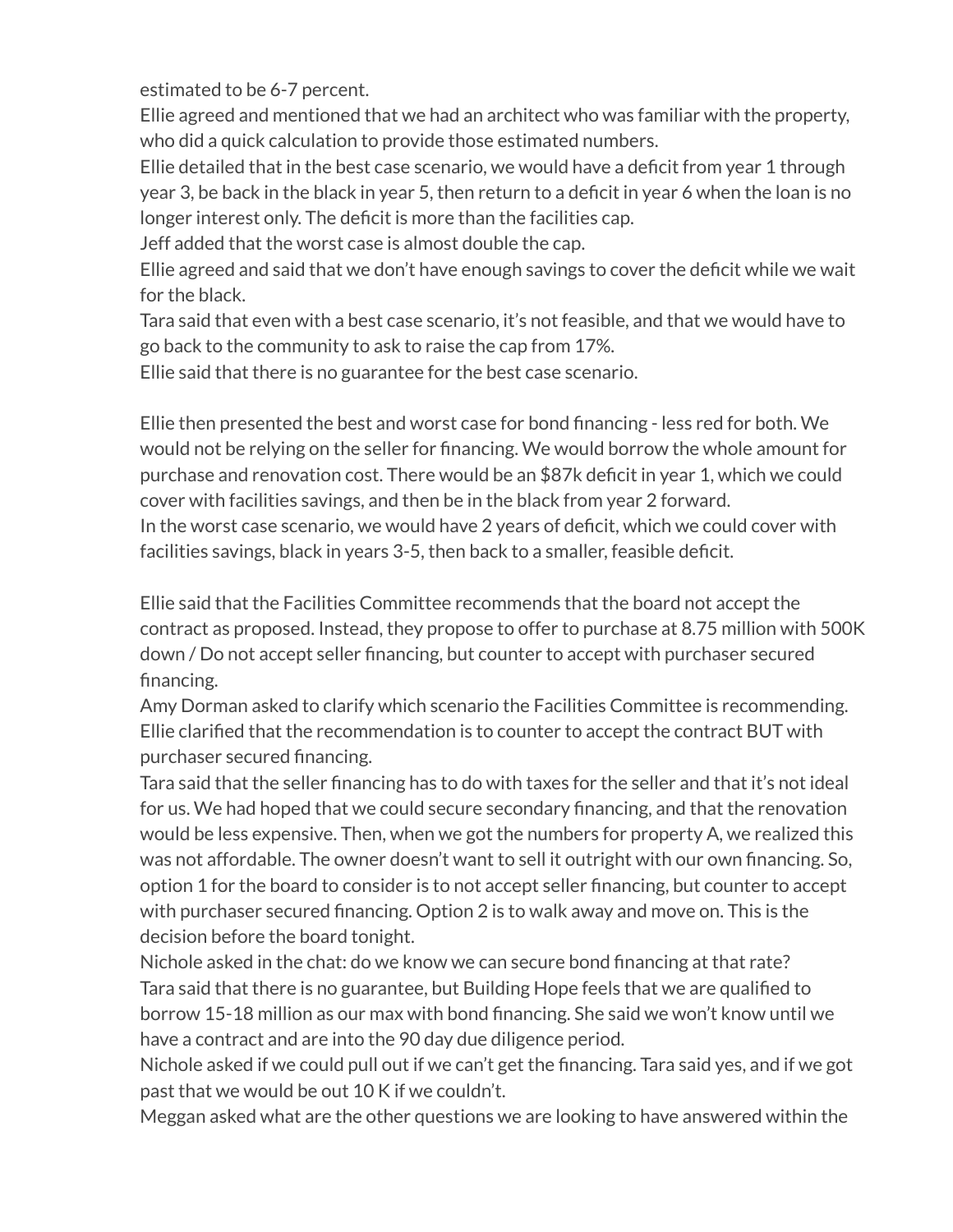estimated to be 6-7 percent.

Ellie agreed and mentioned that we had an architect who was familiar with the property, who did a quick calculation to provide those estimated numbers.

Ellie detailed that in the best case scenario, we would have a deficit from year 1 through year 3, be back in the black in year 5, then return to a deficit in year 6 when the loan is no longer interest only. The deficit is more than the facilities cap.

Jeff added that the worst case is almost double the cap.

Ellie agreed and said that we don't have enough savings to cover the deficit while we wait for the black.

Tara said that even with a best case scenario, it's not feasible, and that we would have to go back to the community to ask to raise the cap from 17%.

Ellie said that there is no guarantee for the best case scenario.

Ellie then presented the best and worst case for bond financing - less red for both. We would not be relying on the seller for financing. We would borrow the whole amount for purchase and renovation cost. There would be an \$87k deficit in year 1, which we could cover with facilities savings, and then be in the black from year 2 forward. In the worst case scenario, we would have 2 years of deficit, which we could cover with facilities savings, black in years 3-5, then back to a smaller, feasible deficit.

Ellie said that the Facilities Committee recommends that the board not accept the contract as proposed. Instead, they propose to offer to purchase at 8.75 million with 500K down / Do not accept seller financing, but counter to accept with purchaser secured financing.

Amy Dorman asked to clarify which scenario the Facilities Committee is recommending. Ellie clarified that the recommendation is to counter to accept the contract BUT with purchaser secured financing.

Tara said that the seller financing has to do with taxes for the seller and that it's not ideal for us. We had hoped that we could secure secondary financing, and that the renovation would be less expensive. Then, when we got the numbers for property A, we realized this was not affordable. The owner doesn't want to sell it outright with our own financing. So, option 1 for the board to consider is to not accept seller financing, but counter to accept with purchaser secured financing. Option 2 is to walk away and move on. This is the decision before the board tonight.

Nichole asked in the chat: do we know we can secure bond financing at that rate? Tara said that there is no guarantee, but Building Hope feels that we are qualified to borrow 15-18 million as our max with bond financing. She said we won't know until we have a contract and are into the 90 day due diligence period.

Nichole asked if we could pull out if we can't get the financing. Tara said yes, and if we got past that we would be out 10 K if we couldn't.

Meggan asked what are the other questions we are looking to have answered within the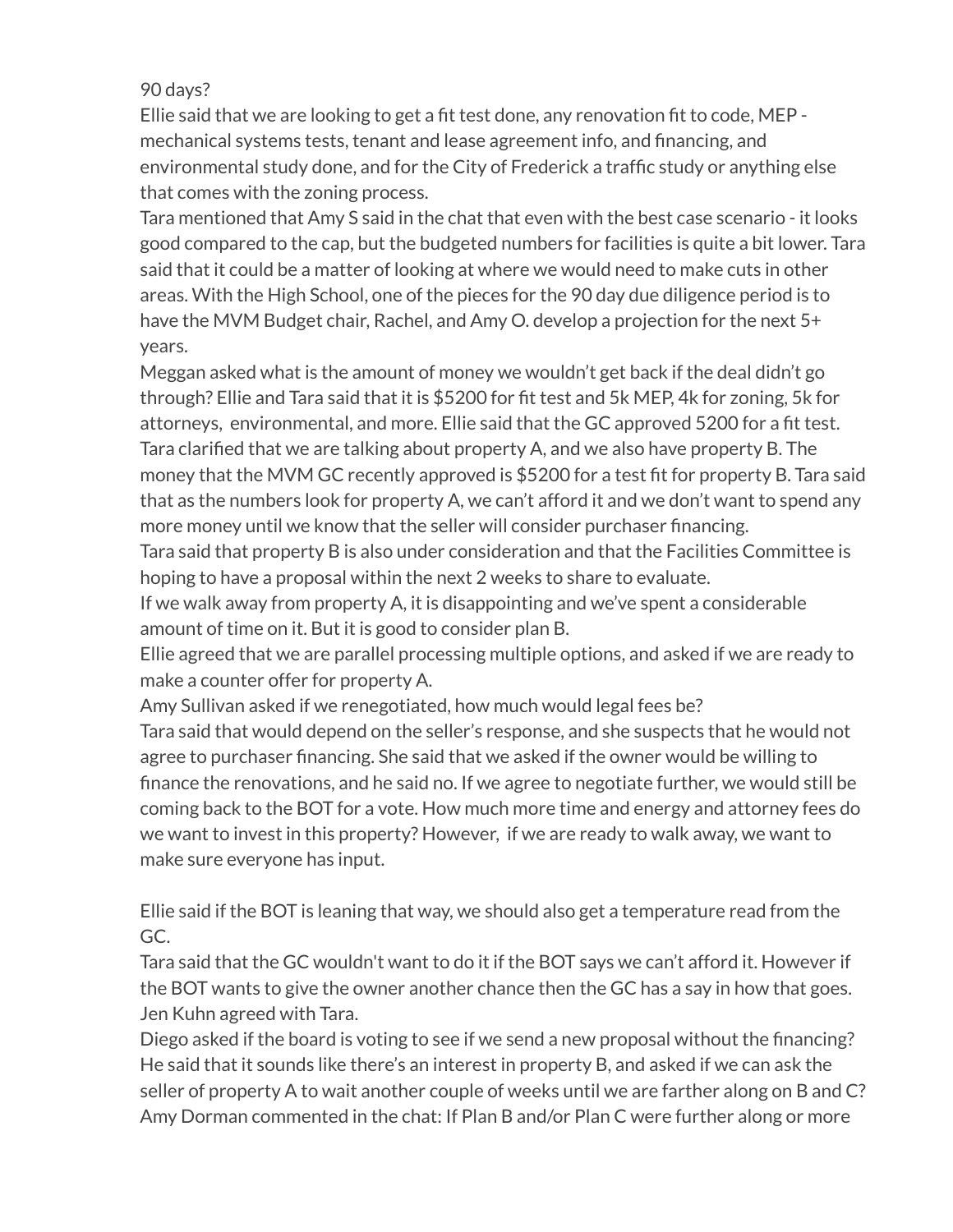# 90 days?

Ellie said that we are looking to get a fit test done, any renovation fit to code, MEP mechanical systems tests, tenant and lease agreement info, and financing, and environmental study done, and for the City of Frederick a traffic study or anything else that comes with the zoning process.

Tara mentioned that Amy S said in the chat that even with the best case scenario - it looks good compared to the cap, but the budgeted numbers for facilities is quite a bit lower. Tara said that it could be a matter of looking at where we would need to make cuts in other areas. With the High School, one of the pieces for the 90 day due diligence period is to have the MVM Budget chair, Rachel, and Amy O. develop a projection for the next 5+ years.

Meggan asked what is the amount of money we wouldn't get back if the deal didn't go through? Ellie and Tara said that it is \$5200 for fit test and 5k MEP, 4k for zoning, 5k for attorneys, environmental, and more. Ellie said that the GC approved 5200 for a fit test. Tara clarified that we are talking about property A, and we also have property B. The money that the MVM GC recently approved is \$5200 for a test fit for property B. Tara said that as the numbers look for property A, we can't afford it and we don't want to spend any more money until we know that the seller will consider purchaser financing.

Tara said that property B is also under consideration and that the Facilities Committee is hoping to have a proposal within the next 2 weeks to share to evaluate.

If we walk away from property A, it is disappointing and we've spent a considerable amount of time on it. But it is good to consider plan B.

Ellie agreed that we are parallel processing multiple options, and asked if we are ready to make a counter offer for property A.

Amy Sullivan asked if we renegotiated, how much would legal fees be?

Tara said that would depend on the seller's response, and she suspects that he would not agree to purchaser financing. She said that we asked if the owner would be willing to finance the renovations, and he said no. If we agree to negotiate further, we would still be coming back to the BOT for a vote. How much more time and energy and attorney fees do we want to invest in this property? However, if we are ready to walk away, we want to make sure everyone has input.

Ellie said if the BOT is leaning that way, we should also get a temperature read from the GC.

Tara said that the GC wouldn't want to do it if the BOT says we can't afford it. However if the BOT wants to give the owner another chance then the GC has a say in how that goes. Jen Kuhn agreed with Tara.

Diego asked if the board is voting to see if we send a new proposal without the financing? He said that it sounds like there's an interest in property B, and asked if we can ask the seller of property A to wait another couple of weeks until we are farther along on B and C? Amy Dorman commented in the chat: If Plan B and/or Plan C were further along or more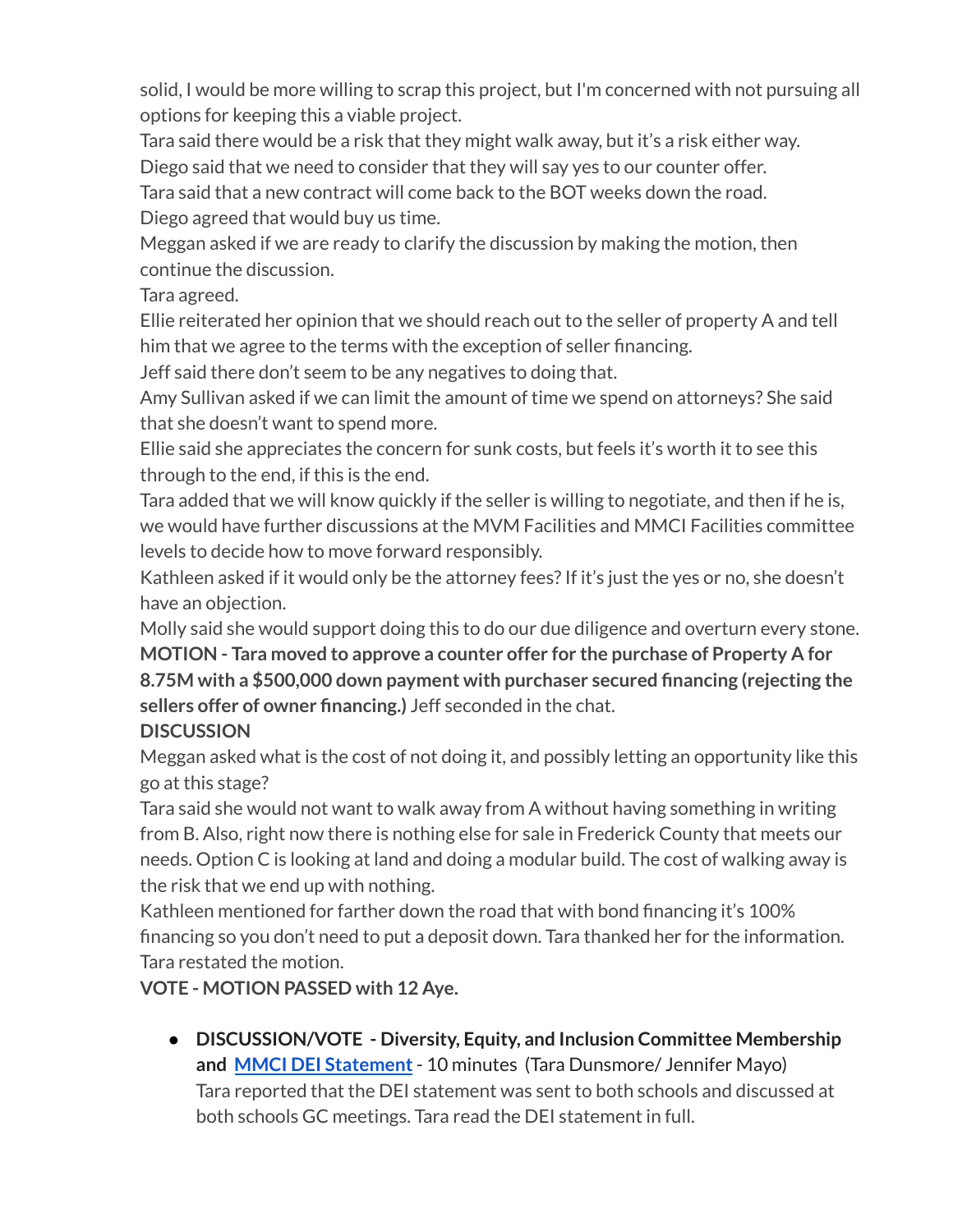solid, I would be more willing to scrap this project, but I'm concerned with not pursuing all options for keeping this a viable project.

Tara said there would be a risk that they might walk away, but it's a risk either way.

Diego said that we need to consider that they will say yes to our counter offer.

Tara said that a new contract will come back to the BOT weeks down the road. Diego agreed that would buy us time.

Meggan asked if we are ready to clarify the discussion by making the motion, then continue the discussion.

Tara agreed.

Ellie reiterated her opinion that we should reach out to the seller of property A and tell him that we agree to the terms with the exception of seller financing.

Jeff said there don't seem to be any negatives to doing that.

Amy Sullivan asked if we can limit the amount of time we spend on attorneys? She said that she doesn't want to spend more.

Ellie said she appreciates the concern for sunk costs, but feels it's worth it to see this through to the end, if this is the end.

Tara added that we will know quickly if the seller is willing to negotiate, and then if he is, we would have further discussions at the MVM Facilities and MMCI Facilities committee levels to decide how to move forward responsibly.

Kathleen asked if it would only be the attorney fees? If it's just the yes or no, she doesn't have an objection.

Molly said she would support doing this to do our due diligence and overturn every stone.

**MOTION - Tara moved to approve a counter offer for the purchase of Property A for 8.75M with a \$500,000 down payment with purchaser secured financing (rejecting the sellers offer of owner financing.)** Jeff seconded in the chat.

# **DISCUSSION**

Meggan asked what is the cost of not doing it, and possibly letting an opportunity like this go at this stage?

Tara said she would not want to walk away from A without having something in writing from B. Also, right now there is nothing else for sale in Frederick County that meets our needs. Option C is looking at land and doing a modular build. The cost of walking away is the risk that we end up with nothing.

Kathleen mentioned for farther down the road that with bond financing it's 100% financing so you don't need to put a deposit down. Tara thanked her for the information. Tara restated the motion.

**VOTE - MOTION PASSED with 12 Aye.**

● **DISCUSSION/VOTE - Diversity, Equity, and Inclusion Committee Membership and MMCI DEI [Statement](https://docs.google.com/document/u/3/d/1LbJlJvEyQooc_Wn7S5YPE0jSBzAU8aF3oS2D9RVEmMc/edit)**- 10 minutes (Tara Dunsmore/ Jennifer Mayo) Tara reported that the DEI statement was sent to both schools and discussed at both schools GC meetings. Tara read the DEI statement in full.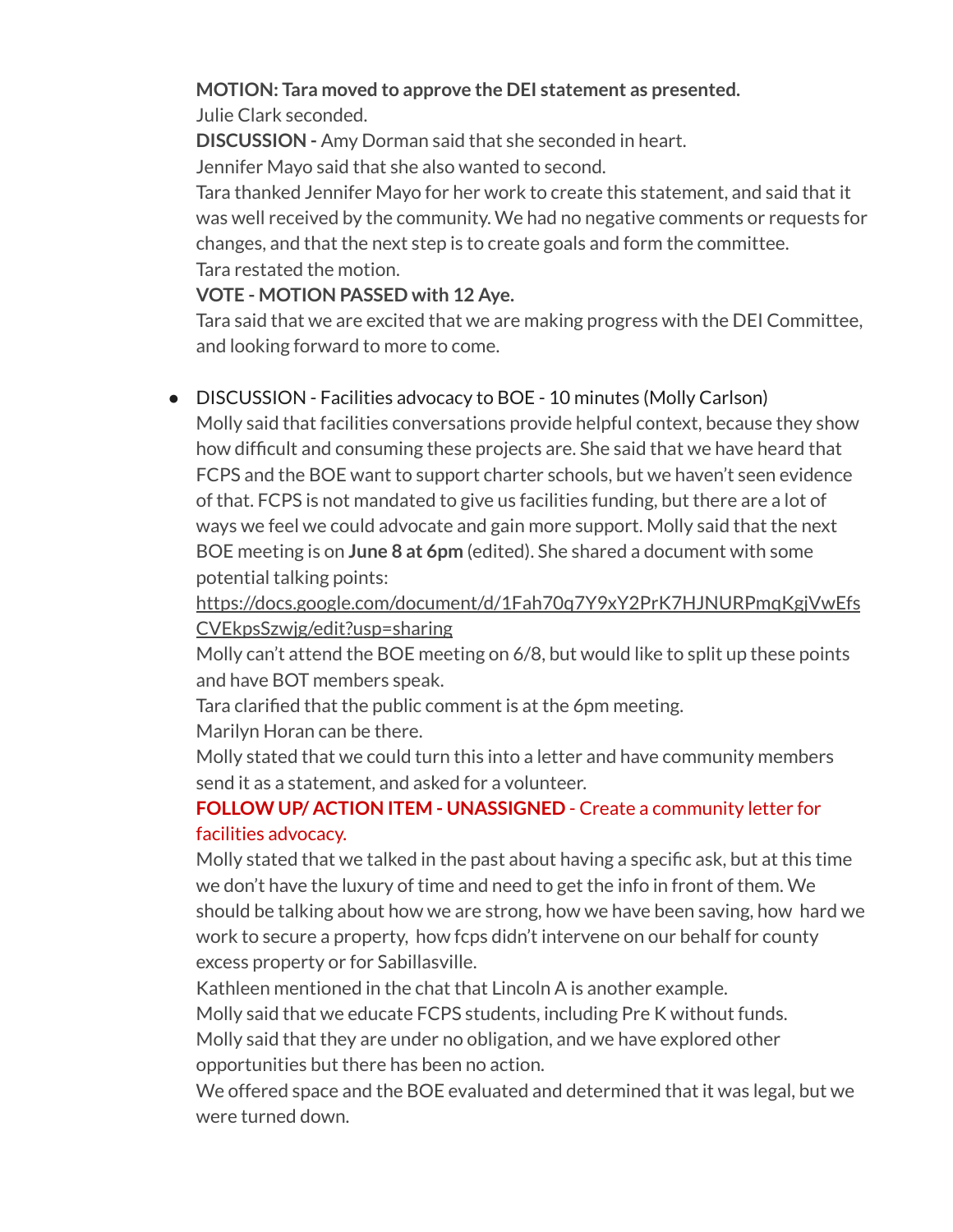# **MOTION: Tara moved to approve the DEI statement as presented.**

Julie Clark seconded.

**DISCUSSION -** Amy Dorman said that she seconded in heart.

Jennifer Mayo said that she also wanted to second.

Tara thanked Jennifer Mayo for her work to create this statement, and said that it was well received by the community. We had no negative comments or requests for changes, and that the next step is to create goals and form the committee. Tara restated the motion.

## **VOTE - MOTION PASSED with 12 Aye.**

Tara said that we are excited that we are making progress with the DEI Committee, and looking forward to more to come.

# ● DISCUSSION - Facilities advocacy to BOE - 10 minutes (Molly Carlson)

Molly said that facilities conversations provide helpful context, because they show how difficult and consuming these projects are. She said that we have heard that FCPS and the BOE want to support charter schools, but we haven't seen evidence of that. FCPS is not mandated to give us facilities funding, but there are a lot of ways we feel we could advocate and gain more support. Molly said that the next BOE meeting is on **June 8 at 6pm** (edited). She shared a document with some potential talking points:

[https://docs.google.com/document/d/1Fah70q7Y9xY2PrK7HJNURPmqKgjVwEfs](https://docs.google.com/document/d/1Fah70q7Y9xY2PrK7HJNURPmqKgjVwEfsCVEkpsSzwjg/edit?usp=sharing&authuser=6) [CVEkpsSzwjg/edit?usp=sharing](https://docs.google.com/document/d/1Fah70q7Y9xY2PrK7HJNURPmqKgjVwEfsCVEkpsSzwjg/edit?usp=sharing&authuser=6)

Molly can't attend the BOE meeting on 6/8, but would like to split up these points and have BOT members speak.

Tara clarified that the public comment is at the 6pm meeting.

Marilyn Horan can be there.

Molly stated that we could turn this into a letter and have community members send it as a statement, and asked for a volunteer.

# **FOLLOW UP/ ACTION ITEM - UNASSIGNED** - Create a community letter for facilities advocacy.

Molly stated that we talked in the past about having a specific ask, but at this time we don't have the luxury of time and need to get the info in front of them. We should be talking about how we are strong, how we have been saving, how hard we work to secure a property, how fcps didn't intervene on our behalf for county excess property or for Sabillasville.

Kathleen mentioned in the chat that Lincoln A is another example.

Molly said that we educate FCPS students, including Pre K without funds.

Molly said that they are under no obligation, and we have explored other opportunities but there has been no action.

We offered space and the BOE evaluated and determined that it was legal, but we were turned down.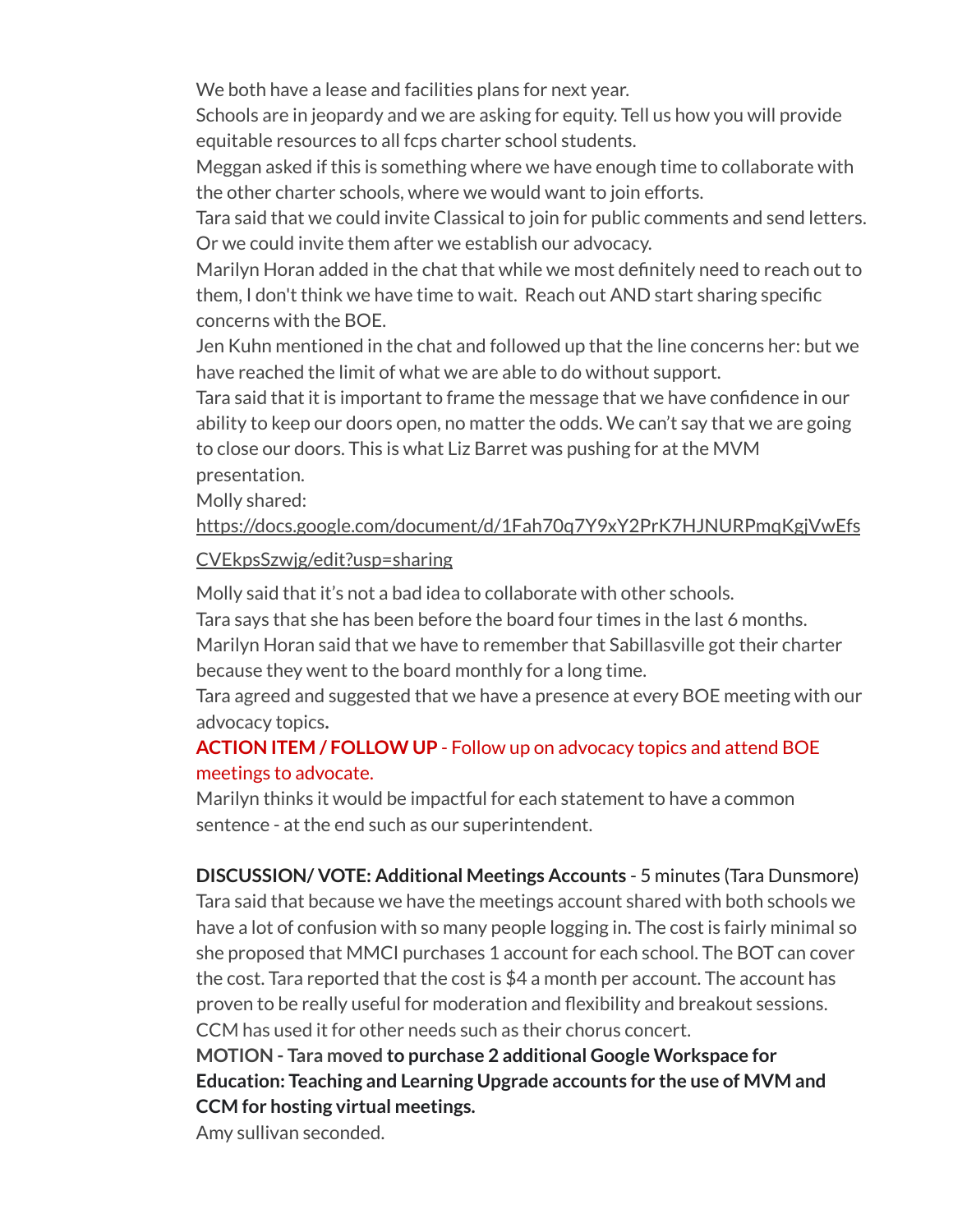We both have a lease and facilities plans for next year.

Schools are in jeopardy and we are asking for equity. Tell us how you will provide equitable resources to all fcps charter school students.

Meggan asked if this is something where we have enough time to collaborate with the other charter schools, where we would want to join efforts.

Tara said that we could invite Classical to join for public comments and send letters. Or we could invite them after we establish our advocacy.

Marilyn Horan added in the chat that while we most definitely need to reach out to them, I don't think we have time to wait. Reach out AND start sharing specific concerns with the BOE.

Jen Kuhn mentioned in the chat and followed up that the line concerns her: but we have reached the limit of what we are able to do without support.

Tara said that it is important to frame the message that we have confidence in our ability to keep our doors open, no matter the odds. We can't say that we are going to close our doors. This is what Liz Barret was pushing for at the MVM presentation.

Molly shared:

[https://docs.google.com/document/d/1Fah70q7Y9xY2PrK7HJNURPmqKgjVwEfs](https://docs.google.com/document/d/1Fah70q7Y9xY2PrK7HJNURPmqKgjVwEfsCVEkpsSzwjg/edit?usp=sharing&authuser=6)

## [CVEkpsSzwjg/edit?usp=sharing](https://docs.google.com/document/d/1Fah70q7Y9xY2PrK7HJNURPmqKgjVwEfsCVEkpsSzwjg/edit?usp=sharing&authuser=6)

Molly said that it's not a bad idea to collaborate with other schools.

Tara says that she has been before the board four times in the last 6 months. Marilyn Horan said that we have to remember that Sabillasville got their charter because they went to the board monthly for a long time.

Tara agreed and suggested that we have a presence at every BOE meeting with our advocacy topics**.**

# **ACTION ITEM / FOLLOW UP** - Follow up on advocacy topics and attend BOE meetings to advocate.

Marilyn thinks it would be impactful for each statement to have a common sentence - at the end such as our superintendent.

**DISCUSSION/ VOTE: Additional Meetings Accounts** - 5 minutes (Tara Dunsmore) Tara said that because we have the meetings account shared with both schools we have a lot of confusion with so many people logging in. The cost is fairly minimal so she proposed that MMCI purchases 1 account for each school. The BOT can cover the cost. Tara reported that the cost is \$4 a month per account. The account has proven to be really useful for moderation and flexibility and breakout sessions. CCM has used it for other needs such as their chorus concert.

**MOTION - Tara moved to purchase 2 additional Google Workspace for Education: Teaching and Learning Upgrade accounts for the use of MVM and CCM for hosting virtual meetings.**

Amy sullivan seconded.